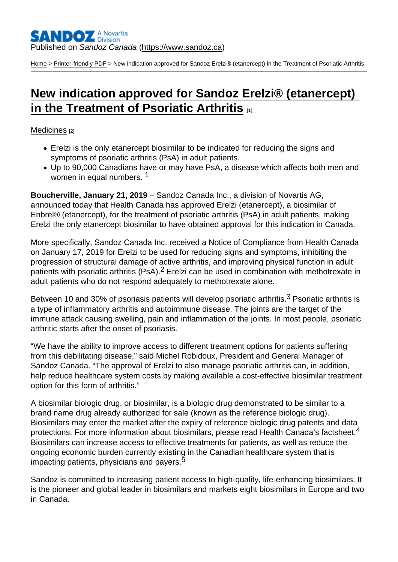[Home](https://www.sandoz.ca/en) > [Printer-friendly PDF](https://www.sandoz.ca/en/printpdf) > New indication approved for Sandoz Erelzi® (etanercept) in the Treatment of Psoriatic Arthritis

# [New indication approved for Sandoz Erelzi® \(etanercept\)](https://www.sandoz.ca/en/stories/medicines/new-indication-approved-sandoz-erelzi-etanercept-treatment-psoriatic-arthritis)  [in the Treatment of Psoriatic Arthritis](https://www.sandoz.ca/en/stories/medicines/new-indication-approved-sandoz-erelzi-etanercept-treatment-psoriatic-arthritis)  $\frac{1}{111}$

#### [Medicines](https://www.sandoz.ca/en/stories/medicines) [2]

- Erelzi is the only etanercept biosimilar to be indicated for reducing the signs and symptoms of psoriatic arthritis (PsA) in adult patients.
- Up to 90,000 Canadians have or may have PsA, a disease which affects both men and women in equal numbers.<sup>1</sup>

Boucherville, January 21, 2019 – Sandoz Canada Inc., a division of Novartis AG, announced today that Health Canada has approved Erelzi (etanercept), a biosimilar of Enbrel® (etanercept), for the treatment of psoriatic arthritis (PsA) in adult patients, making Erelzi the only etanercept biosimilar to have obtained approval for this indication in Canada.

More specifically, Sandoz Canada Inc. received a Notice of Compliance from Health Canada on January 17, 2019 for Erelzi to be used for reducing signs and symptoms, inhibiting the progression of structural damage of active arthritis, and improving physical function in adult patients with psoriatic arthritis (PsA).<sup>2</sup> Erelzi can be used in combination with methotrexate in adult patients who do not respond adequately to methotrexate alone.

Between 10 and 30% of psoriasis patients will develop psoriatic arthritis.<sup>3</sup> Psoriatic arthritis is a type of inflammatory arthritis and autoimmune disease. The joints are the target of the immune attack causing swelling, pain and inflammation of the joints. In most people, psoriatic arthritic starts after the onset of psoriasis.

"We have the ability to improve access to different treatment options for patients suffering from this debilitating disease," said Michel Robidoux, President and General Manager of Sandoz Canada. "The approval of Erelzi to also manage psoriatic arthritis can, in addition, help reduce healthcare system costs by making available a cost-effective biosimilar treatment option for this form of arthritis."

A biosimilar biologic drug, or biosimilar, is a biologic drug demonstrated to be similar to a brand name drug already authorized for sale (known as the reference biologic drug). Biosimilars may enter the market after the expiry of reference biologic drug patents and data protections. For more information about biosimilars, please read Health Canada's factsheet.<sup>4</sup> Biosimilars can increase access to effective treatments for patients, as well as reduce the ongoing economic burden currently existing in the Canadian healthcare system that is impacting patients, physicians and payers.<sup>5</sup>

Sandoz is committed to increasing patient access to high-quality, life-enhancing biosimilars. It is the pioneer and global leader in biosimilars and markets eight biosimilars in Europe and two in Canada.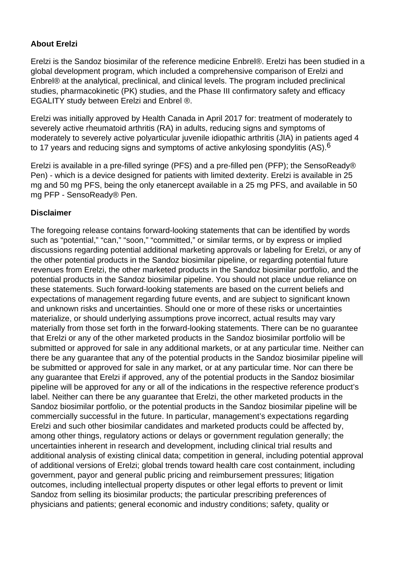## **About Erelzi**

Erelzi is the Sandoz biosimilar of the reference medicine Enbrel®. Erelzi has been studied in a global development program, which included a comprehensive comparison of Erelzi and Enbrel® at the analytical, preclinical, and clinical levels. The program included preclinical studies, pharmacokinetic (PK) studies, and the Phase III confirmatory safety and efficacy EGALITY study between Erelzi and Enbrel ®.

Erelzi was initially approved by Health Canada in April 2017 for: treatment of moderately to severely active rheumatoid arthritis (RA) in adults, reducing signs and symptoms of moderately to severely active polyarticular juvenile idiopathic arthritis (JIA) in patients aged 4 to 17 years and reducing signs and symptoms of active ankylosing spondylitis (AS).<sup>6</sup>

Erelzi is available in a pre-filled syringe (PFS) and a pre-filled pen (PFP); the SensoReady® Pen) - which is a device designed for patients with limited dexterity. Erelzi is available in 25 mg and 50 mg PFS, being the only etanercept available in a 25 mg PFS, and available in 50 mg PFP - SensoReady® Pen.

#### **Disclaimer**

The foregoing release contains forward-looking statements that can be identified by words such as "potential," "can," "soon," "committed," or similar terms, or by express or implied discussions regarding potential additional marketing approvals or labeling for Erelzi, or any of the other potential products in the Sandoz biosimilar pipeline, or regarding potential future revenues from Erelzi, the other marketed products in the Sandoz biosimilar portfolio, and the potential products in the Sandoz biosimilar pipeline. You should not place undue reliance on these statements. Such forward-looking statements are based on the current beliefs and expectations of management regarding future events, and are subject to significant known and unknown risks and uncertainties. Should one or more of these risks or uncertainties materialize, or should underlying assumptions prove incorrect, actual results may vary materially from those set forth in the forward-looking statements. There can be no guarantee that Erelzi or any of the other marketed products in the Sandoz biosimilar portfolio will be submitted or approved for sale in any additional markets, or at any particular time. Neither can there be any guarantee that any of the potential products in the Sandoz biosimilar pipeline will be submitted or approved for sale in any market, or at any particular time. Nor can there be any guarantee that Erelzi if approved, any of the potential products in the Sandoz biosimilar pipeline will be approved for any or all of the indications in the respective reference product's label. Neither can there be any guarantee that Erelzi, the other marketed products in the Sandoz biosimilar portfolio, or the potential products in the Sandoz biosimilar pipeline will be commercially successful in the future. In particular, management's expectations regarding Erelzi and such other biosimilar candidates and marketed products could be affected by, among other things, regulatory actions or delays or government regulation generally; the uncertainties inherent in research and development, including clinical trial results and additional analysis of existing clinical data; competition in general, including potential approval of additional versions of Erelzi; global trends toward health care cost containment, including government, payor and general public pricing and reimbursement pressures; litigation outcomes, including intellectual property disputes or other legal efforts to prevent or limit Sandoz from selling its biosimilar products; the particular prescribing preferences of physicians and patients; general economic and industry conditions; safety, quality or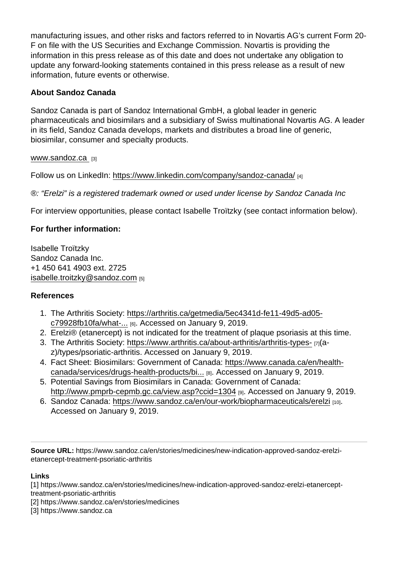manufacturing issues, and other risks and factors referred to in Novartis AG's current Form 20- F on file with the US Securities and Exchange Commission. Novartis is providing the information in this press release as of this date and does not undertake any obligation to update any forward-looking statements contained in this press release as a result of new information, future events or otherwise.

### About Sandoz Canada

Sandoz Canada is part of Sandoz International GmbH, a global leader in generic pharmaceuticals and biosimilars and a subsidiary of Swiss multinational Novartis AG. A leader in its field, Sandoz Canada develops, markets and distributes a broad line of generic, biosimilar, consumer and specialty products.

#### [www.sandoz.ca](https://www.sandoz.ca) [3]

Follow us on LinkedIn: <https://www.linkedin.com/company/sandoz-canada/> [4]

®: "Erelzi" is a registered trademark owned or used under license by Sandoz Canada Inc

For interview opportunities, please contact Isabelle Troïtzky (see contact information below).

For further information:

Isabelle Troïtzky Sandoz Canada Inc. +1 450 641 4903 ext. 2725 [isabelle.troitzky@sandoz.com](mailto:isabelle.troitzky@sandoz.com) [5]

#### References

- 1. The Arthritis Society: [https://arthritis.ca/getmedia/5ec4341d-fe11-49d5-ad05](https://arthritis.ca/getmedia/5ec4341d-fe11-49d5-ad05-c79928fb10fa/what-is-psoriatic-arthritis-infographic.pdf) [c79928fb10fa/what-...](https://arthritis.ca/getmedia/5ec4341d-fe11-49d5-ad05-c79928fb10fa/what-is-psoriatic-arthritis-infographic.pdf) [6]. Accessed on January 9, 2019.
- 2. Erelzi® (etanercept) is not indicated for the treatment of plaque psoriasis at this time.
- 3. The Arthritis Society:<https://www.arthritis.ca/about-arthritis/arthritis-types-> [7](az)/types/psoriatic-arthritis. Accessed on January 9, 2019.
- 4. Fact Sheet: Biosimilars: Government of Canada: [https://www.canada.ca/en/health](https://www.canada.ca/en/health-canada/services/drugs-health-products/biologics-radiopharmaceuticals-genetic-therapies/applications-submissions/guidance-documents/fact-sheet-biosimilars.html)[canada/services/drugs-health-products/bi...](https://www.canada.ca/en/health-canada/services/drugs-health-products/biologics-radiopharmaceuticals-genetic-therapies/applications-submissions/guidance-documents/fact-sheet-biosimilars.html) [8]. Accessed on January 9, 2019.
- 5. Potential Savings from Biosimilars in Canada: Government of Canada: <http://www.pmprb-cepmb.gc.ca/view.asp?ccid=1304> [9]. Accessed on January 9, 2019.
- 6. Sandoz Canada: <https://www.sandoz.ca/en/our-work/biopharmaceuticals/erelzi> [10]. Accessed on January 9, 2019.

Source URL: https://www.sandoz.ca/en/stories/medicines/new-indication-approved-sandoz-erelzietanercept-treatment-psoriatic-arthritis

Links

[1] https://www.sandoz.ca/en/stories/medicines/new-indication-approved-sandoz-erelzi-etanercepttreatment-psoriatic-arthritis

[2] https://www.sandoz.ca/en/stories/medicines

[3] https://www.sandoz.ca